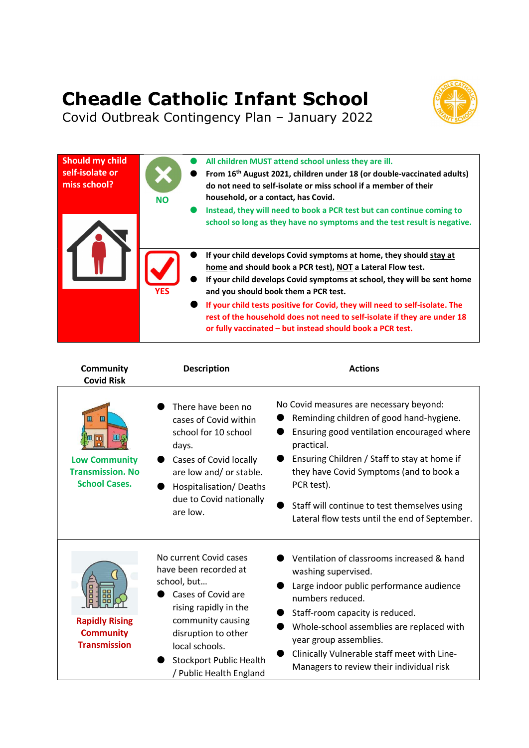## Cheadle Catholic Infant School



Covid Outbreak Contingency Plan – January 2022

| Should my child<br>self-isolate or<br>miss school? | <b>NO</b>  | All children MUST attend school unless they are ill.<br>From 16 <sup>th</sup> August 2021, children under 18 (or double-vaccinated adults)<br>do not need to self-isolate or miss school if a member of their<br>household, or a contact, has Covid.<br>Instead, they will need to book a PCR test but can continue coming to<br>school so long as they have no symptoms and the test result is negative.                                                                   |
|----------------------------------------------------|------------|-----------------------------------------------------------------------------------------------------------------------------------------------------------------------------------------------------------------------------------------------------------------------------------------------------------------------------------------------------------------------------------------------------------------------------------------------------------------------------|
|                                                    | <b>YES</b> | If your child develops Covid symptoms at home, they should stay at<br>home and should book a PCR test), NOT a Lateral Flow test.<br>If your child develops Covid symptoms at school, they will be sent home<br>and you should book them a PCR test.<br>If your child tests positive for Covid, they will need to self-isolate. The<br>rest of the household does not need to self-isolate if they are under 18<br>or fully vaccinated – but instead should book a PCR test. |

| <b>Community</b><br><b>Covid Risk</b>                                        | <b>Description</b>                                                                                                                                                                                                                       | <b>Actions</b>                                                                                                                                                                                                                                                                                                                                             |  |
|------------------------------------------------------------------------------|------------------------------------------------------------------------------------------------------------------------------------------------------------------------------------------------------------------------------------------|------------------------------------------------------------------------------------------------------------------------------------------------------------------------------------------------------------------------------------------------------------------------------------------------------------------------------------------------------------|--|
| Щ<br><b>Low Community</b><br><b>Transmission, No</b><br><b>School Cases.</b> | There have been no<br>cases of Covid within<br>school for 10 school<br>days.<br>Cases of Covid locally<br>are low and/ or stable.<br>Hospitalisation/Deaths<br>due to Covid nationally<br>are low.                                       | No Covid measures are necessary beyond:<br>Reminding children of good hand-hygiene.<br>Ensuring good ventilation encouraged where<br>practical.<br>Ensuring Children / Staff to stay at home if<br>they have Covid Symptoms (and to book a<br>PCR test).<br>Staff will continue to test themselves using<br>Lateral flow tests until the end of September. |  |
| F<br><b>Rapidly Rising</b><br><b>Community</b><br><b>Transmission</b>        | No current Covid cases<br>have been recorded at<br>school, but<br>Cases of Covid are<br>rising rapidly in the<br>community causing<br>disruption to other<br>local schools.<br><b>Stockport Public Health</b><br>/ Public Health England | Ventilation of classrooms increased & hand<br>washing supervised.<br>Large indoor public performance audience<br>numbers reduced.<br>Staff-room capacity is reduced.<br>Whole-school assemblies are replaced with<br>year group assemblies.<br>Clinically Vulnerable staff meet with Line-<br>Managers to review their individual risk                     |  |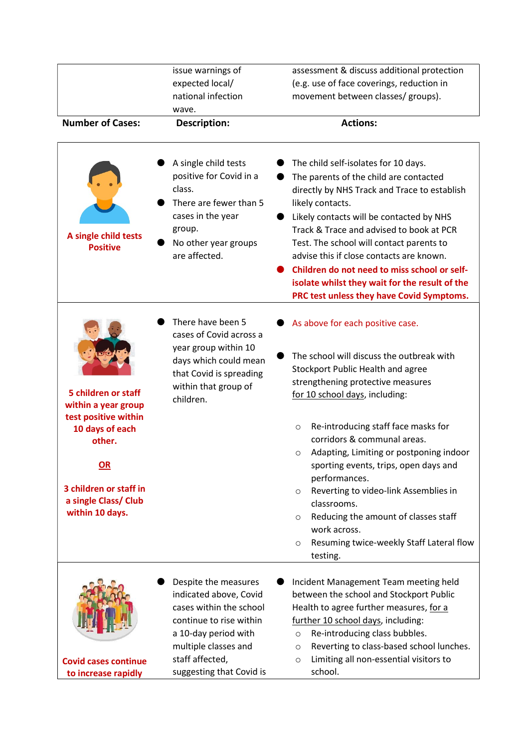|                                                                   | issue warnings of                                                                                                                                                       | assessment & discuss additional protection                                                                                                                                                                                                                                                                                                                                                                                                                                        |  |  |
|-------------------------------------------------------------------|-------------------------------------------------------------------------------------------------------------------------------------------------------------------------|-----------------------------------------------------------------------------------------------------------------------------------------------------------------------------------------------------------------------------------------------------------------------------------------------------------------------------------------------------------------------------------------------------------------------------------------------------------------------------------|--|--|
| expected local/<br>national infection                             |                                                                                                                                                                         | (e.g. use of face coverings, reduction in<br>movement between classes/ groups).                                                                                                                                                                                                                                                                                                                                                                                                   |  |  |
|                                                                   |                                                                                                                                                                         |                                                                                                                                                                                                                                                                                                                                                                                                                                                                                   |  |  |
| <b>Number of Cases:</b><br>Description:                           |                                                                                                                                                                         | <b>Actions:</b>                                                                                                                                                                                                                                                                                                                                                                                                                                                                   |  |  |
| A single child tests<br><b>Positive</b>                           | A single child tests<br>positive for Covid in a<br>class.<br>There are fewer than 5<br>cases in the year<br>group.<br>No other year groups<br>are affected.             | The child self-isolates for 10 days.<br>The parents of the child are contacted<br>directly by NHS Track and Trace to establish<br>likely contacts.<br>Likely contacts will be contacted by NHS<br>Track & Trace and advised to book at PCR<br>Test. The school will contact parents to<br>advise this if close contacts are known.<br>Children do not need to miss school or self-<br>isolate whilst they wait for the result of the<br>PRC test unless they have Covid Symptoms. |  |  |
| 5 children or staff<br>within a year group                        | There have been 5<br>cases of Covid across a<br>year group within 10<br>days which could mean<br>that Covid is spreading<br>within that group of<br>children.           | As above for each positive case.<br>The school will discuss the outbreak with<br>Stockport Public Health and agree<br>strengthening protective measures<br>for 10 school days, including:                                                                                                                                                                                                                                                                                         |  |  |
| test positive within<br>10 days of each<br>other.                 |                                                                                                                                                                         | Re-introducing staff face masks for<br>$\circ$<br>corridors & communal areas.<br>Adapting, Limiting or postponing indoor<br>O                                                                                                                                                                                                                                                                                                                                                     |  |  |
| $\underline{\mathsf{OR}}$                                         |                                                                                                                                                                         | sporting events, trips, open days and<br>performances.                                                                                                                                                                                                                                                                                                                                                                                                                            |  |  |
| 3 children or staff in<br>a single Class/ Club<br>within 10 days. |                                                                                                                                                                         | Reverting to video-link Assemblies in<br>$\circ$<br>classrooms.                                                                                                                                                                                                                                                                                                                                                                                                                   |  |  |
|                                                                   |                                                                                                                                                                         | Reducing the amount of classes staff<br>$\circ$<br>work across.<br>Resuming twice-weekly Staff Lateral flow<br>$\circ$<br>testing.                                                                                                                                                                                                                                                                                                                                                |  |  |
| <b>Covid cases continue</b>                                       | Despite the measures<br>indicated above, Covid<br>cases within the school<br>continue to rise within<br>a 10-day period with<br>multiple classes and<br>staff affected, | Incident Management Team meeting held<br>between the school and Stockport Public<br>Health to agree further measures, for a<br>further 10 school days, including:<br>Re-introducing class bubbles.<br>$\circ$<br>Reverting to class-based school lunches.<br>$\circ$<br>Limiting all non-essential visitors to<br>$\circ$                                                                                                                                                         |  |  |
| to increase rapidly                                               | suggesting that Covid is                                                                                                                                                | school.                                                                                                                                                                                                                                                                                                                                                                                                                                                                           |  |  |